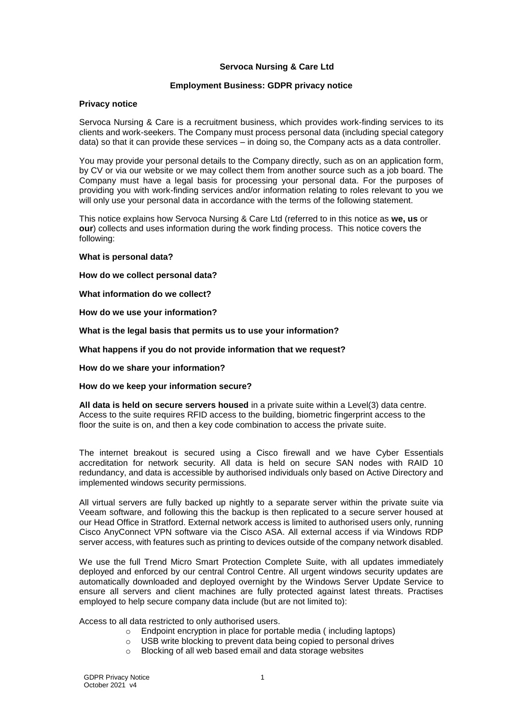## **Servoca Nursing & Care Ltd**

### **Employment Business: GDPR privacy notice**

#### **Privacy notice**

Servoca Nursing & Care is a recruitment business, which provides work-finding services to its clients and work-seekers. The Company must process personal data (including special category data) so that it can provide these services – in doing so, the Company acts as a data controller.

You may provide your personal details to the Company directly, such as on an application form, by CV or via our website or we may collect them from another source such as a job board. The Company must have a legal basis for processing your personal data. For the purposes of providing you with work-finding services and/or information relating to roles relevant to you we will only use your personal data in accordance with the terms of the following statement.

This notice explains how Servoca Nursing & Care Ltd (referred to in this notice as **we, us** or **our**) collects and uses information during the work finding process. This notice covers the following:

### **[What is personal data?](#page-1-0)**

**[How do we collect personal data?](#page-1-1)**

**[What information do we collect?](#page-1-2)**

**[How do we use your information?](#page-2-0)**

**[What is the legal basis that permits us to use your information?](#page-2-1)**

**[What happens if you do not provide information that we request?](#page-3-0)**

**[How do we share your information?](#page-3-1)**

#### **[How do we keep your information secure?](#page-3-2)**

**All data is held on secure servers housed** [in a private suite within a Level\(3\) data centre.](#page-3-3)  [Access to the suite requires RFID access to the building, biometric fingerprint access to the](#page-3-3)  [floor the suite is on, and then a key code combination to access the private suite.](#page-3-3)

The internet breakout is secured [using a Cisco firewall and we have Cyber Essentials](#page-3-3)  [accreditation for network security. All data is held on secure SAN nodes with RAID 10](#page-3-3)  [redundancy, and data is accessible by authorised individuals only based on Active Directory and](#page-3-3)  [implemented windows security permissions.](#page-3-3)

[All virtual servers are fully backed up nightly to a separate server within the private suite via](#page-3-3)  [Veeam software, and following this the backup is then replicated to a secure server housed at](#page-3-3)  [our Head Office in Stratford. External network access is limited to authorised users only, running](#page-3-3)  [Cisco AnyConnect VPN software via the Cisco ASA. All external access if via Windows RDP](#page-3-3)  [server access, with features such as printing to devices outside of the company network disabled.](#page-3-3)

[We use the full Trend Micro Smart Protection Complete Suite, with all updates immediately](#page-3-3)  [deployed and enforced by our central Control Centre. All urgent windows security updates are](#page-3-3)  [automatically downloaded and deployed overnight by the Windows Server Update Service to](#page-3-3)  [ensure all servers and client machines are fully protected against latest threats. Practises](#page-3-3)  [employed to help secure company data include \(but are not limited to\):](#page-3-3)

[Access to all data restricted to only authorised users.](#page-3-3)

- o Endpoint encryption in place for [portable media \( including laptops\)](#page-3-3)
- o [USB write blocking to prevent data being copied to personal drives](#page-3-3)<br>
o Blocking of all web based email and data storage websites
- [Blocking of all web based email and data storage websites](#page-3-3)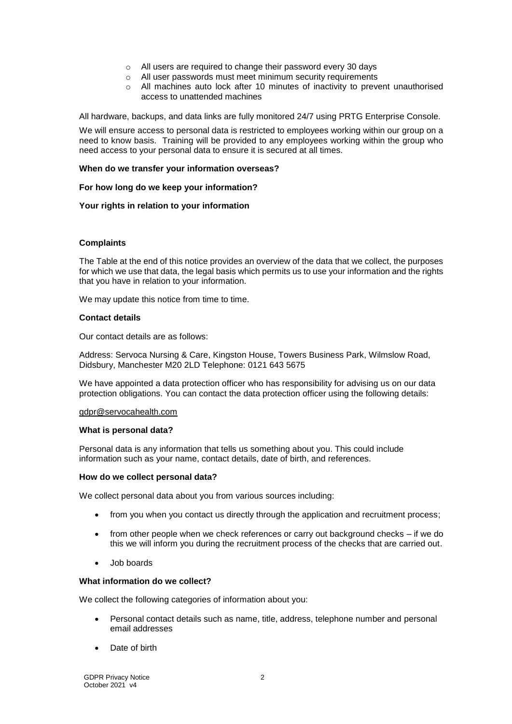- o [All users are required to change their password every 30 days](#page-3-3)
- $\circ$  [All user passwords must meet minimum security requirements](#page-3-3)
- $\circ$  All machines auto lock after 10 minutes of inactivity to prevent unauthorised [access to unattended machines](#page-3-3)

[All hardware, backups, and data links are fully monitored 24/7 using PRTG Enterprise Console.](#page-3-3)

[We will ensure access to personal data is restricted to employees working within our group on a](#page-3-3)  [need to know basis. Training will be provided to any employees working within the group who](#page-3-3)  [need access to your personal data to ensure it is secured at all times.](#page-3-3)

### **[When do we transfer your information overseas?](#page-3-3)**

#### **[For how long do we keep your information?](#page-4-0)**

## **[Your rights in relation to your information](#page-4-1)**

## **[Complaints](#page-5-0)**

The [Table](#page-6-0) at the end of this notice provides an overview of the data that we collect, the purposes for which we use that data, the legal basis which permits us to use your information and the rights that you have in relation to your information.

We may update this notice from time to time.

## **Contact details**

Our contact details are as follows:

Address: Servoca Nursing & Care, Kingston House, Towers Business Park, Wilmslow Road, Didsbury, Manchester M20 2LD Telephone: 0121 643 5675

We have appointed a data protection officer who has responsibility for advising us on our data protection obligations. You can contact the data protection officer using the following details:

### [gdpr@servocahealth.com](mailto:gdpr@servocahealth.com)

#### <span id="page-1-0"></span>**What is personal data?**

Personal data is any information that tells us something about you. This could include information such as your name, contact details, date of birth, and references.

#### <span id="page-1-1"></span>**How do we collect personal data?**

We collect personal data about you from various sources including:

- from you when you contact us directly through the application and recruitment process;
- from other people when we check references or carry out background checks if we do this we will inform you during the recruitment process of the checks that are carried out.
- Job boards

#### <span id="page-1-2"></span>**What information do we collect?**

We collect the following categories of information about you:

- Personal contact details such as name, title, address, telephone number and personal email addresses
- Date of birth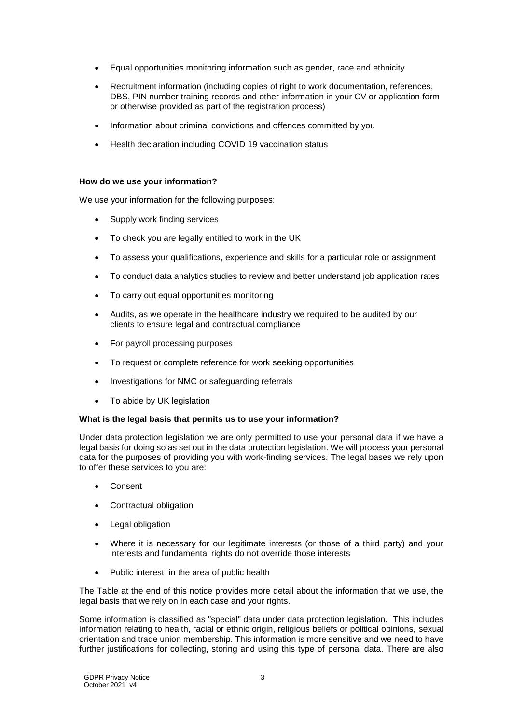- Equal opportunities monitoring information such as gender, race and ethnicity
- Recruitment information (including copies of right to work documentation, references, DBS, PIN number training records and other information in your CV or application form or otherwise provided as part of the registration process)
- Information about criminal convictions and offences committed by you
- Health declaration including COVID 19 vaccination status

## <span id="page-2-0"></span>**How do we use your information?**

We use your information for the following purposes:

- Supply work finding services
- To check you are legally entitled to work in the UK
- To assess your qualifications, experience and skills for a particular role or assignment
- To conduct data analytics studies to review and better understand job application rates
- To carry out equal opportunities monitoring
- Audits, as we operate in the healthcare industry we required to be audited by our clients to ensure legal and contractual compliance
- For payroll processing purposes
- To request or complete reference for work seeking opportunities
- Investigations for NMC or safeguarding referrals
- To abide by UK legislation

#### <span id="page-2-1"></span>**What is the legal basis that permits us to use your information?**

Under data protection legislation we are only permitted to use your personal data if we have a legal basis for doing so as set out in the data protection legislation. We will process your personal data for the purposes of providing you with work-finding services. The legal bases we rely upon to offer these services to you are:

- Consent
- Contractual obligation
- Legal obligation
- Where it is necessary for our legitimate interests (or those of a third party) and your interests and fundamental rights do not override those interests
- Public interest in the area of public health

The [Table](#page-6-0) at the end of this notice provides more detail about the information that we use, the legal basis that we rely on in each case and your rights.

Some information is classified as "special" data under data protection legislation. This includes information relating to health, racial or ethnic origin, religious beliefs or political opinions, sexual orientation and trade union membership. This information is more sensitive and we need to have further justifications for collecting, storing and using this type of personal data. There are also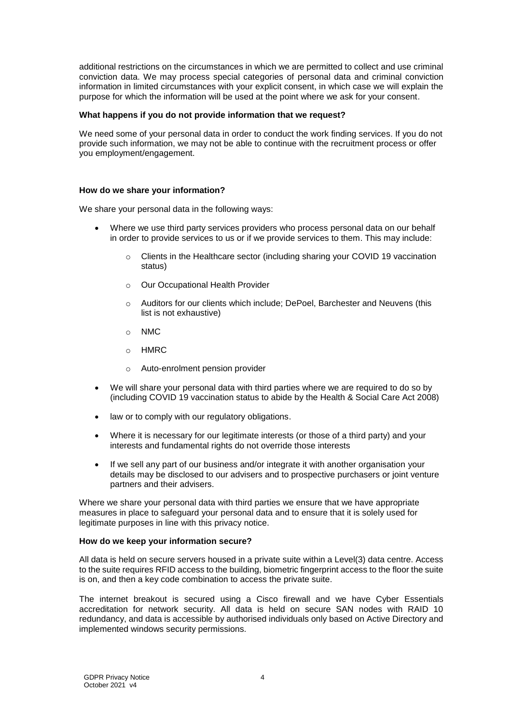additional restrictions on the circumstances in which we are permitted to collect and use criminal conviction data. We may process special categories of personal data and criminal conviction information in limited circumstances with your explicit consent, in which case we will explain the purpose for which the information will be used at the point where we ask for your consent.

### <span id="page-3-0"></span>**What happens if you do not provide information that we request?**

We need some of your personal data in order to conduct the work finding services. If you do not provide such information, we may not be able to continue with the recruitment process or offer you employment/engagement.

## <span id="page-3-1"></span>**How do we share your information?**

We share your personal data in the following ways:

- Where we use third party services providers who process personal data on our behalf in order to provide services to us or if we provide services to them. This may include:
	- o Clients in the Healthcare sector (including sharing your COVID 19 vaccination status)
	- o Our Occupational Health Provider
	- o Auditors for our clients which include; DePoel, Barchester and Neuvens (this list is not exhaustive)
	- o NMC
	- o HMRC
	- o Auto-enrolment pension provider
- We will share your personal data with third parties where we are required to do so by (including COVID 19 vaccination status to abide by the Health & Social Care Act 2008)
- law or to comply with our regulatory obligations.
- Where it is necessary for our legitimate interests (or those of a third party) and your interests and fundamental rights do not override those interests
- If we sell any part of our business and/or integrate it with another organisation your details may be disclosed to our advisers and to prospective purchasers or joint venture partners and their advisers.

Where we share your personal data with third parties we ensure that we have appropriate measures in place to safeguard your personal data and to ensure that it is solely used for legitimate purposes in line with this privacy notice.

#### <span id="page-3-2"></span>**How do we keep your information secure?**

<span id="page-3-3"></span>All data is held on secure servers housed in a private suite within a Level(3) data centre. Access to the suite requires RFID access to the building, biometric fingerprint access to the floor the suite is on, and then a key code combination to access the private suite.

The internet breakout is secured using a Cisco firewall and we have Cyber Essentials accreditation for network security. All data is held on secure SAN nodes with RAID 10 redundancy, and data is accessible by authorised individuals only based on Active Directory and implemented windows security permissions.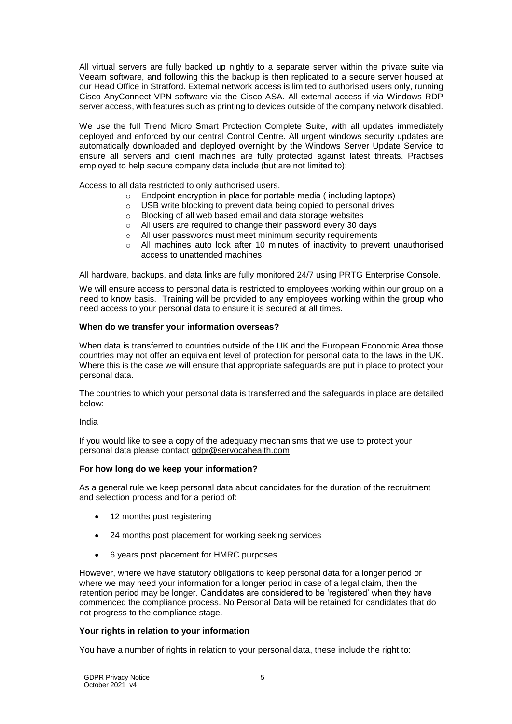All virtual servers are fully backed up nightly to a separate server within the private suite via Veeam software, and following this the backup is then replicated to a secure server housed at our Head Office in Stratford. External network access is limited to authorised users only, running Cisco AnyConnect VPN software via the Cisco ASA. All external access if via Windows RDP server access, with features such as printing to devices outside of the company network disabled.

We use the full Trend Micro Smart Protection Complete Suite, with all updates immediately deployed and enforced by our central Control Centre. All urgent windows security updates are automatically downloaded and deployed overnight by the Windows Server Update Service to ensure all servers and client machines are fully protected against latest threats. Practises employed to help secure company data include (but are not limited to):

Access to all data restricted to only authorised users.

- $\circ$  Endpoint encryption in place for portable media (including laptops)
- o USB write blocking to prevent data being copied to personal drives
- o Blocking of all web based email and data storage websites
- o All users are required to change their password every 30 days
- o All user passwords must meet minimum security requirements
- o All machines auto lock after 10 minutes of inactivity to prevent unauthorised access to unattended machines

All hardware, backups, and data links are fully monitored 24/7 using PRTG Enterprise Console.

We will ensure access to personal data is restricted to employees working within our group on a need to know basis. Training will be provided to any employees working within the group who need access to your personal data to ensure it is secured at all times.

## **When do we transfer your information overseas?**

When data is transferred to countries outside of the UK and the European Economic Area those countries may not offer an equivalent level of protection for personal data to the laws in the UK. Where this is the case we will ensure that appropriate safeguards are put in place to protect your personal data.

The countries to which your personal data is transferred and the safeguards in place are detailed below:

<span id="page-4-2"></span>India

If you would like to see a copy of the adequacy mechanisms that we use to protect your personal data please contact [gdpr@servocahealth.com](mailto:gdpr@servocahealth.com)

#### <span id="page-4-0"></span>**For how long do we keep your information?**

As a general rule we keep personal data about candidates for the duration of the recruitment and selection process and for a period of:

- 12 months post registering
- 24 months post placement for working seeking services
- 6 years post placement for HMRC purposes

However, where we have statutory obligations to keep personal data for a longer period or where we may need your information for a longer period in case of a legal claim, then the retention period may be longer. Candidates are considered to be 'registered' when they have commenced the compliance process. No Personal Data will be retained for candidates that do not progress to the compliance stage.

## <span id="page-4-1"></span>**Your rights in relation to your information**

You have a number of rights in relation to your personal data, these include the right to: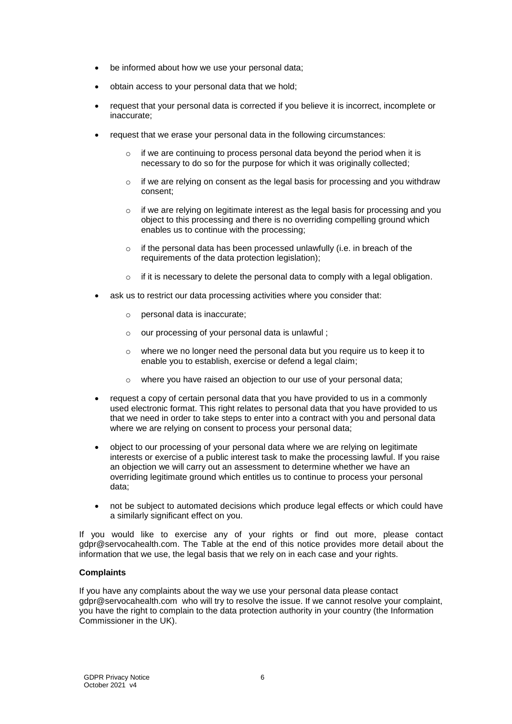- be informed about how we use your personal data;
- obtain access to your personal data that we hold;
- request that your personal data is corrected if you believe it is incorrect, incomplete or inaccurate;
- request that we erase your personal data in the following circumstances:
	- o if we are continuing to process personal data beyond the period when it is necessary to do so for the purpose for which it was originally collected;
	- $\circ$  if we are relying on consent as the legal basis for processing and you withdraw consent;
	- $\circ$  if we are relying on legitimate interest as the legal basis for processing and you object to this processing and there is no overriding compelling ground which enables us to continue with the processing;
	- o if the personal data has been processed unlawfully (i.e. in breach of the requirements of the data protection legislation);
	- if it is necessary to delete the personal data to comply with a legal obligation.
- ask us to restrict our data processing activities where you consider that:
	- o personal data is inaccurate;
	- o our processing of your personal data is unlawful ;
	- o where we no longer need the personal data but you require us to keep it to enable you to establish, exercise or defend a legal claim;
	- o where you have raised an objection to our use of your personal data;
- request a copy of certain personal data that you have provided to us in a commonly used electronic format. This right relates to personal data that you have provided to us that we need in order to take steps to enter into a contract with you and personal data where we are relying on consent to process your personal data;
- object to our processing of your personal data where we are relying on legitimate interests or exercise of a public interest task to make the processing lawful. If you raise an objection we will carry out an assessment to determine whether we have an overriding legitimate ground which entitles us to continue to process your personal data;
- not be subject to automated decisions which produce legal effects or which could have a similarly significant effect on you.

If you would like to exercise any of your rights or find out more, please contact gdpr@servocahealth.com. The [Table](#page-6-0) at the end of this notice provides more detail about the information that we use, the legal basis that we rely on in each case and your rights.

## <span id="page-5-0"></span>**Complaints**

If you have any complaints about the way we use your personal data please contact gdpr@servocahealth.com who will try to resolve the issue. If we cannot resolve your complaint, you have the right to complain to the data protection authority in your country (the Information Commissioner in the UK).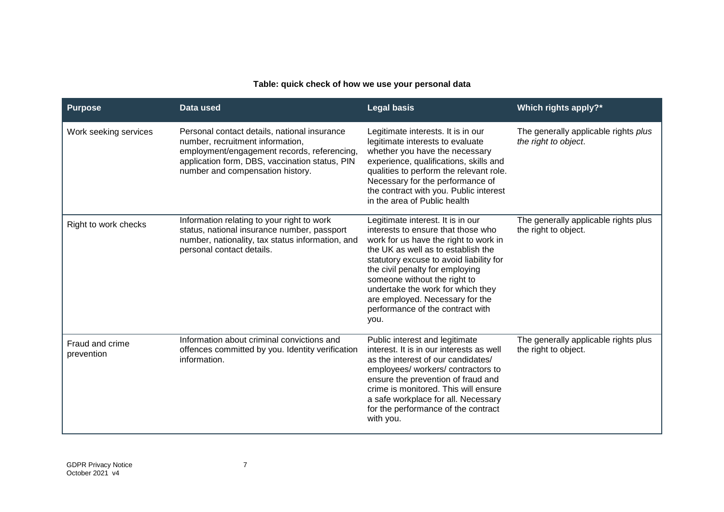# **Table: quick check of how we use your personal data**

<span id="page-6-0"></span>

| <b>Purpose</b>                | Data used                                                                                                                                                                                                             | <b>Legal basis</b>                                                                                                                                                                                                                                                                                                                                                                       | Which rights apply?*                                         |
|-------------------------------|-----------------------------------------------------------------------------------------------------------------------------------------------------------------------------------------------------------------------|------------------------------------------------------------------------------------------------------------------------------------------------------------------------------------------------------------------------------------------------------------------------------------------------------------------------------------------------------------------------------------------|--------------------------------------------------------------|
| Work seeking services         | Personal contact details, national insurance<br>number, recruitment information,<br>employment/engagement records, referencing,<br>application form, DBS, vaccination status, PIN<br>number and compensation history. | Legitimate interests. It is in our<br>legitimate interests to evaluate<br>whether you have the necessary<br>experience, qualifications, skills and<br>qualities to perform the relevant role.<br>Necessary for the performance of<br>the contract with you. Public interest<br>in the area of Public health                                                                              | The generally applicable rights plus<br>the right to object. |
| Right to work checks          | Information relating to your right to work<br>status, national insurance number, passport<br>number, nationality, tax status information, and<br>personal contact details.                                            | Legitimate interest. It is in our<br>interests to ensure that those who<br>work for us have the right to work in<br>the UK as well as to establish the<br>statutory excuse to avoid liability for<br>the civil penalty for employing<br>someone without the right to<br>undertake the work for which they<br>are employed. Necessary for the<br>performance of the contract with<br>you. | The generally applicable rights plus<br>the right to object. |
| Fraud and crime<br>prevention | Information about criminal convictions and<br>offences committed by you. Identity verification<br>information.                                                                                                        | Public interest and legitimate<br>interest. It is in our interests as well<br>as the interest of our candidates/<br>employees/ workers/ contractors to<br>ensure the prevention of fraud and<br>crime is monitored. This will ensure<br>a safe workplace for all. Necessary<br>for the performance of the contract<br>with you.                                                          | The generally applicable rights plus<br>the right to object. |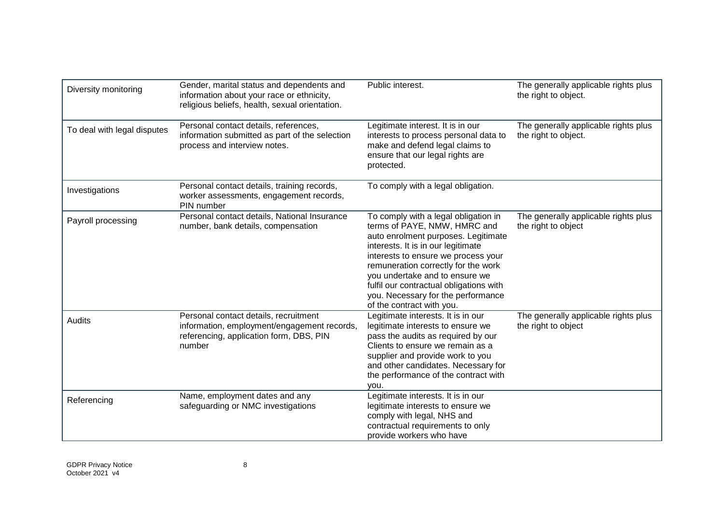| Diversity monitoring        | Gender, marital status and dependents and<br>information about your race or ethnicity,<br>religious beliefs, health, sexual orientation.  | Public interest.                                                                                                                                                                                                                                                                                                                                                                | The generally applicable rights plus<br>the right to object. |
|-----------------------------|-------------------------------------------------------------------------------------------------------------------------------------------|---------------------------------------------------------------------------------------------------------------------------------------------------------------------------------------------------------------------------------------------------------------------------------------------------------------------------------------------------------------------------------|--------------------------------------------------------------|
| To deal with legal disputes | Personal contact details, references,<br>information submitted as part of the selection<br>process and interview notes.                   | Legitimate interest. It is in our<br>interests to process personal data to<br>make and defend legal claims to<br>ensure that our legal rights are<br>protected.                                                                                                                                                                                                                 | The generally applicable rights plus<br>the right to object. |
| Investigations              | Personal contact details, training records,<br>worker assessments, engagement records,<br>PIN number                                      | To comply with a legal obligation.                                                                                                                                                                                                                                                                                                                                              |                                                              |
| Payroll processing          | Personal contact details, National Insurance<br>number, bank details, compensation                                                        | To comply with a legal obligation in<br>terms of PAYE, NMW, HMRC and<br>auto enrolment purposes. Legitimate<br>interests. It is in our legitimate<br>interests to ensure we process your<br>remuneration correctly for the work<br>you undertake and to ensure we<br>fulfil our contractual obligations with<br>you. Necessary for the performance<br>of the contract with you. | The generally applicable rights plus<br>the right to object  |
| Audits                      | Personal contact details, recruitment<br>information, employment/engagement records,<br>referencing, application form, DBS, PIN<br>number | Legitimate interests. It is in our<br>legitimate interests to ensure we<br>pass the audits as required by our<br>Clients to ensure we remain as a<br>supplier and provide work to you<br>and other candidates. Necessary for<br>the performance of the contract with<br>you.                                                                                                    | The generally applicable rights plus<br>the right to object  |
| Referencing                 | Name, employment dates and any<br>safeguarding or NMC investigations                                                                      | Legitimate interests. It is in our<br>legitimate interests to ensure we<br>comply with legal, NHS and<br>contractual requirements to only<br>provide workers who have                                                                                                                                                                                                           |                                                              |